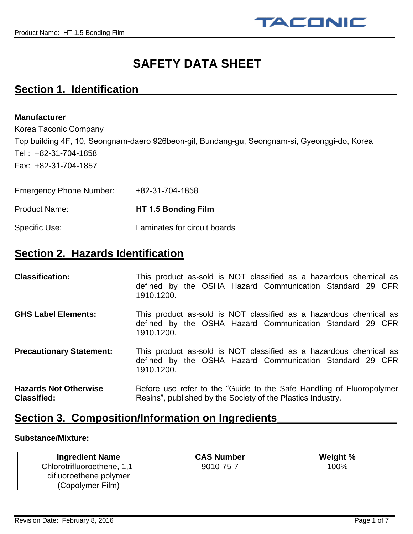

# **SAFETY DATA SHEET**

### **Section 1. Identification\_\_\_\_\_\_\_\_\_\_\_\_\_\_\_\_\_\_\_\_\_\_\_\_\_\_\_\_\_\_\_\_\_\_\_\_\_\_\_\_\_\_\_**

#### **Manufacturer**

Korea Taconic Company Top building 4F, 10, Seongnam-daero 926beon-gil, Bundang-gu, Seongnam-si, Gyeonggi-do, Korea Tel : +82-31-704-1858 Fax: +82-31-[704](http://www.4taconic.com/)[-1857](mailto:info@4taconic.com)

| <b>Emergency Phone Number:</b> | +82-31-704-1858              |
|--------------------------------|------------------------------|
| Product Name:                  | HT 1.5 Bonding Film          |
| Specific Use:                  | Laminates for circuit boards |

### **Section 2. Hazards Identification**

| <b>Classification:</b>                             | This product as-sold is NOT classified as a hazardous chemical as<br>defined by the OSHA Hazard Communication Standard 29 CFR<br>1910.1200. |
|----------------------------------------------------|---------------------------------------------------------------------------------------------------------------------------------------------|
| <b>GHS Label Elements:</b>                         | This product as-sold is NOT classified as a hazardous chemical as<br>defined by the OSHA Hazard Communication Standard 29 CFR<br>1910.1200. |
| <b>Precautionary Statement:</b>                    | This product as-sold is NOT classified as a hazardous chemical as<br>defined by the OSHA Hazard Communication Standard 29 CFR<br>1910.1200. |
| <b>Hazards Not Otherwise</b><br><b>Classified:</b> | Before use refer to the "Guide to the Safe Handling of Fluoropolymer<br>Resins", published by the Society of the Plastics Industry.         |

### **Section 3. Composition/Information on Ingredients**

#### **Substance/Mixture:**

| <b>Ingredient Name</b>                                | <b>CAS Number</b> | Weight % |
|-------------------------------------------------------|-------------------|----------|
| Chlorotrifluoroethene, 1,1-<br>difluoroethene polymer | 9010-75-7         | 100%     |
| (Copolymer Film)                                      |                   |          |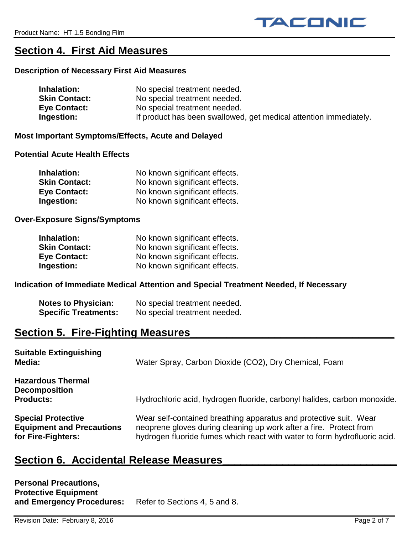### **Section 4. First Aid Measures\_\_\_\_\_\_\_\_\_\_\_\_\_\_\_\_\_\_\_\_\_\_\_\_\_\_\_\_\_\_\_\_\_\_\_\_\_**

#### **Description of Necessary First Aid Measures**

| Inhalation:          | No special treatment needed.                                      |
|----------------------|-------------------------------------------------------------------|
| <b>Skin Contact:</b> | No special treatment needed.                                      |
| <b>Eye Contact:</b>  | No special treatment needed.                                      |
| Ingestion:           | If product has been swallowed, get medical attention immediately. |

#### **Most Important Symptoms/Effects, Acute and Delayed**

#### **Potential Acute Health Effects**

| Inhalation:          | No known significant effects. |
|----------------------|-------------------------------|
| <b>Skin Contact:</b> | No known significant effects. |
| <b>Eye Contact:</b>  | No known significant effects. |
| Ingestion:           | No known significant effects. |

#### **Over-Exposure Signs/Symptoms**

| Inhalation:          | No known significant effects. |
|----------------------|-------------------------------|
| <b>Skin Contact:</b> | No known significant effects. |
| <b>Eye Contact:</b>  | No known significant effects. |
| Ingestion:           | No known significant effects. |

#### **Indication of Immediate Medical Attention and Special Treatment Needed, If Necessary**

| <b>Notes to Physician:</b>  | No special treatment needed. |
|-----------------------------|------------------------------|
| <b>Specific Treatments:</b> | No special treatment needed. |

### Section 5. Fire-Fighting Measures

| <b>Suitable Extinguishing</b><br>Media:                                             | Water Spray, Carbon Dioxide (CO2), Dry Chemical, Foam                                                                                                                                                                |
|-------------------------------------------------------------------------------------|----------------------------------------------------------------------------------------------------------------------------------------------------------------------------------------------------------------------|
| <b>Hazardous Thermal</b><br><b>Decomposition</b><br><b>Products:</b>                | Hydrochloric acid, hydrogen fluoride, carbonyl halides, carbon monoxide.                                                                                                                                             |
| <b>Special Protective</b><br><b>Equipment and Precautions</b><br>for Fire-Fighters: | Wear self-contained breathing apparatus and protective suit. Wear<br>neoprene gloves during cleaning up work after a fire. Protect from<br>hydrogen fluoride fumes which react with water to form hydrofluoric acid. |

### Section 6. Accidental Release Measures

| <b>Personal Precautions,</b> |                               |
|------------------------------|-------------------------------|
| <b>Protective Equipment</b>  |                               |
| and Emergency Procedures:    | Refer to Sections 4, 5 and 8. |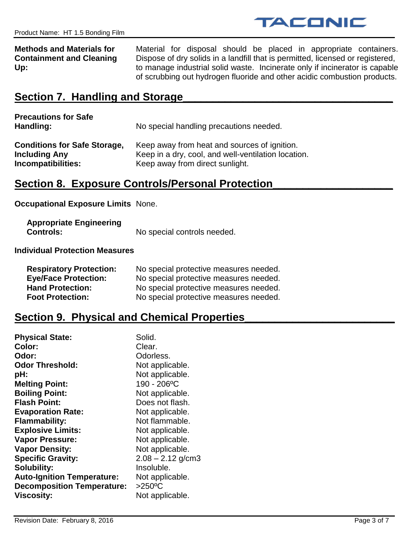

**Methods and Materials for** Material for disposal should be placed in appropriate containers. **Containment and Cleaning** Dispose of dry solids in a landfill that is permitted, licensed or registered, **Up:** to manage industrial solid waste. Incinerate only if incinerator is capable of scrubbing out hydrogen fluoride and other acidic combustion products.

### **Section 7. Handling and Storage\_\_\_\_\_\_\_\_\_\_\_\_\_\_\_\_\_\_\_\_\_\_\_\_\_\_\_\_\_\_\_\_\_\_\_**

| <b>Precautions for Safe</b><br>Handling: | No special handling precautions needed.             |
|------------------------------------------|-----------------------------------------------------|
| <b>Conditions for Safe Storage,</b>      | Keep away from heat and sources of ignition.        |
| <b>Including Any</b>                     | Keep in a dry, cool, and well-ventilation location. |
| Incompatibilities:                       | Keep away from direct sunlight.                     |

### **Section 8. Exposure Controls/Personal Protection\_\_\_\_\_\_\_\_\_\_\_\_\_\_\_\_\_\_\_\_**

**Occupational Exposure Limits** None.

| <b>Appropriate Engineering</b> |                             |
|--------------------------------|-----------------------------|
| <b>Controls:</b>               | No special controls needed. |

**Individual Protection Measures**

| <b>Respiratory Protection:</b> | No special protective measures needed. |
|--------------------------------|----------------------------------------|
| <b>Eye/Face Protection:</b>    | No special protective measures needed. |
| <b>Hand Protection:</b>        | No special protective measures needed. |
| <b>Foot Protection:</b>        | No special protective measures needed. |

### **Section 9. Physical and Chemical Properties**

| <b>Physical State:</b>            | Solid.              |
|-----------------------------------|---------------------|
| Color:                            | Clear.              |
| Odor:                             | Odorless.           |
| <b>Odor Threshold:</b>            | Not applicable.     |
| pH:                               | Not applicable.     |
| <b>Melting Point:</b>             | 190 - 206°C         |
| <b>Boiling Point:</b>             | Not applicable.     |
| <b>Flash Point:</b>               | Does not flash.     |
| <b>Evaporation Rate:</b>          | Not applicable.     |
| <b>Flammability:</b>              | Not flammable.      |
| <b>Explosive Limits:</b>          | Not applicable.     |
| <b>Vapor Pressure:</b>            | Not applicable.     |
| <b>Vapor Density:</b>             | Not applicable.     |
| <b>Specific Gravity:</b>          | $2.08 - 2.12$ g/cm3 |
| <b>Solubility:</b>                | Insoluble.          |
| <b>Auto-Ignition Temperature:</b> | Not applicable.     |
| <b>Decomposition Temperature:</b> | $>250^{\circ}$ C    |
| <b>Viscosity:</b>                 | Not applicable.     |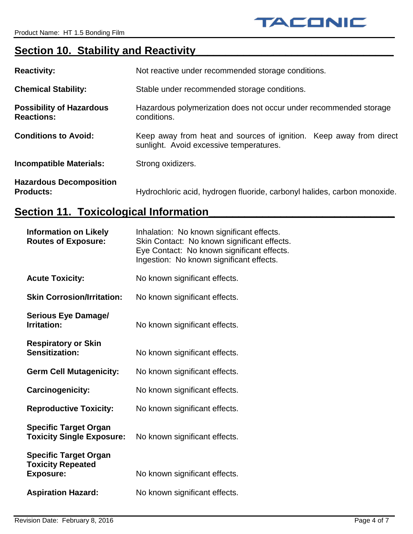## **Section 10. Stability and Reactivity**

| <b>Reactivity:</b>                                   | Not reactive under recommended storage conditions.                                                               |
|------------------------------------------------------|------------------------------------------------------------------------------------------------------------------|
| <b>Chemical Stability:</b>                           | Stable under recommended storage conditions.                                                                     |
| <b>Possibility of Hazardous</b><br><b>Reactions:</b> | Hazardous polymerization does not occur under recommended storage<br>conditions.                                 |
| <b>Conditions to Avoid:</b>                          | Keep away from heat and sources of ignition.<br>Keep away from direct<br>sunlight. Avoid excessive temperatures. |
| <b>Incompatible Materials:</b>                       | Strong oxidizers.                                                                                                |
| <b>Hazardous Decomposition</b><br><b>Products:</b>   | Hydrochloric acid, hydrogen fluoride, carbonyl halides, carbon monoxide.                                         |

## **Section 11. Toxicological Information\_**

| <b>Information on Likely</b><br><b>Routes of Exposure:</b>                   | Inhalation: No known significant effects.<br>Skin Contact: No known significant effects.<br>Eye Contact: No known significant effects.<br>Ingestion: No known significant effects. |
|------------------------------------------------------------------------------|------------------------------------------------------------------------------------------------------------------------------------------------------------------------------------|
| <b>Acute Toxicity:</b>                                                       | No known significant effects.                                                                                                                                                      |
| <b>Skin Corrosion/Irritation:</b>                                            | No known significant effects.                                                                                                                                                      |
| <b>Serious Eye Damage/</b><br><b>Irritation:</b>                             | No known significant effects.                                                                                                                                                      |
| <b>Respiratory or Skin</b><br><b>Sensitization:</b>                          | No known significant effects.                                                                                                                                                      |
| <b>Germ Cell Mutagenicity:</b>                                               | No known significant effects.                                                                                                                                                      |
| <b>Carcinogenicity:</b>                                                      | No known significant effects.                                                                                                                                                      |
| <b>Reproductive Toxicity:</b>                                                | No known significant effects.                                                                                                                                                      |
| <b>Specific Target Organ</b><br><b>Toxicity Single Exposure:</b>             | No known significant effects.                                                                                                                                                      |
| <b>Specific Target Organ</b><br><b>Toxicity Repeated</b><br><b>Exposure:</b> | No known significant effects.                                                                                                                                                      |
| <b>Aspiration Hazard:</b>                                                    | No known significant effects.                                                                                                                                                      |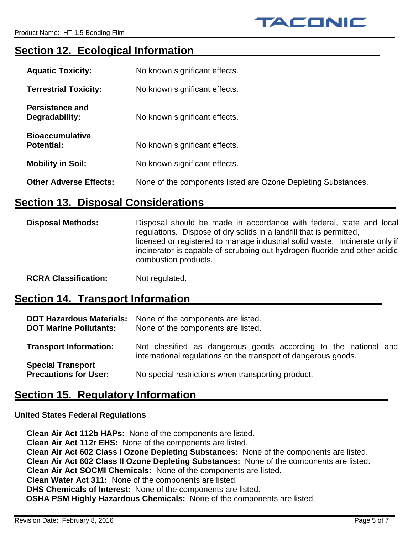## Section 12. Ecological Information

| <b>Aquatic Toxicity:</b>                    | No known significant effects.                                 |
|---------------------------------------------|---------------------------------------------------------------|
| <b>Terrestrial Toxicity:</b>                | No known significant effects.                                 |
| <b>Persistence and</b><br>Degradability:    | No known significant effects.                                 |
| <b>Bioaccumulative</b><br><b>Potential:</b> | No known significant effects.                                 |
| <b>Mobility in Soil:</b>                    | No known significant effects.                                 |
| <b>Other Adverse Effects:</b>               | None of the components listed are Ozone Depleting Substances. |

### **Section 13. Disposal Considerations**

**Disposal Methods:** Disposal should be made in accordance with federal, state and local regulations. Dispose of dry solids in a landfill that is permitted, licensed or registered to manage industrial solid waste. Incinerate only if incinerator is capable of scrubbing out hydrogen fluoride and other acidic combustion products.

#### **RCRA Classification:** Not regulated.

## **Section 14. Transport Information**

| <b>DOT Hazardous Materials:</b><br><b>DOT Marine Pollutants:</b> | None of the components are listed.<br>None of the components are listed.                                                          |
|------------------------------------------------------------------|-----------------------------------------------------------------------------------------------------------------------------------|
| <b>Transport Information:</b>                                    | Not classified as dangerous goods according to the national and<br>international regulations on the transport of dangerous goods. |
| <b>Special Transport</b><br><b>Precautions for User:</b>         | No special restrictions when transporting product.                                                                                |

### Section 15. Regulatory Information

#### **United States Federal Regulations**

**Clean Air Act 112b HAPs:** None of the components are listed. **Clean Air Act 112r EHS:** None of the components are listed. **Clean Air Act 602 Class I Ozone Depleting Substances:** None of the components are listed. **Clean Air Act 602 Class II Ozone Depleting Substances:** None of the components are listed. **Clean Air Act SOCMI Chemicals:** None of the components are listed. **Clean Water Act 311:** None of the components are listed. **DHS Chemicals of Interest:** None of the components are listed. **OSHA PSM Highly Hazardous Chemicals:** None of the components are listed.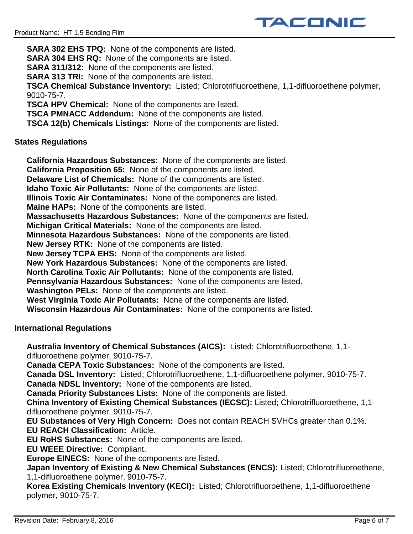**SARA 302 EHS TPQ:** None of the components are listed. **SARA 304 EHS RQ:** None of the components are listed. **SARA 311/312:** None of the components are listed. **SARA 313 TRI:** None of the components are listed. **TSCA Chemical Substance Inventory:** Listed; Chlorotrifluoroethene, 1,1-difluoroethene polymer, 9010-75-7. **TSCA HPV Chemical:** None of the components are listed. **TSCA PMNACC Addendum:** None of the components are listed. **TSCA 12(b) Chemicals Listings:** None of the components are listed.

TACONIC

#### **States Regulations**

**California Hazardous Substances:** None of the components are listed.

**California Proposition 65:** None of the components are listed.

**Delaware List of Chemicals:** None of the components are listed.

**Idaho Toxic Air Pollutants:** None of the components are listed.

**Illinois Toxic Air Contaminates:** None of the components are listed.

**Maine HAPs:** None of the components are listed.

**Massachusetts Hazardous Substances:** None of the components are listed.

**Michigan Critical Materials:** None of the components are listed.

**Minnesota Hazardous Substances:** None of the components are listed.

**New Jersey RTK:** None of the components are listed.

**New Jersey TCPA EHS:** None of the components are listed.

**New York Hazardous Substances:** None of the components are listed.

**North Carolina Toxic Air Pollutants:** None of the components are listed.

**Pennsylvania Hazardous Substances:** None of the components are listed.

**Washington PELs:** None of the components are listed.

**West Virginia Toxic Air Pollutants:** None of the components are listed.

**Wisconsin Hazardous Air Contaminates:** None of the components are listed.

**International Regulations**

**Australia Inventory of Chemical Substances (AICS):** Listed; Chlorotrifluoroethene, 1,1 difluoroethene polymer, 9010-75-7.

**Canada CEPA Toxic Substances:** None of the components are listed.

**Canada DSL Inventory:** Listed; Chlorotrifluoroethene, 1,1-difluoroethene polymer, 9010-75-7. **Canada NDSL Inventory:** None of the components are listed.

**Canada Priority Substances Lists:** None of the components are listed.

**China Inventory of Existing Chemical Substances (IECSC):** Listed; Chlorotrifluoroethene, 1,1 difluoroethene polymer, 9010-75-7.

**EU Substances of Very High Concern:** Does not contain REACH SVHCs greater than 0.1%. **EU REACH Classification:** Article.

**EU RoHS Substances:** None of the components are listed.

**EU WEEE Directive:** Compliant.

**Europe EINECS:** None of the components are listed.

**Japan Inventory of Existing & New Chemical Substances (ENCS):** Listed; Chlorotrifluoroethene, 1,1-difluoroethene polymer, 9010-75-7.

**Korea Existing Chemicals Inventory (KECI):** Listed; Chlorotrifluoroethene, 1,1-difluoroethene polymer, 9010-75-7.